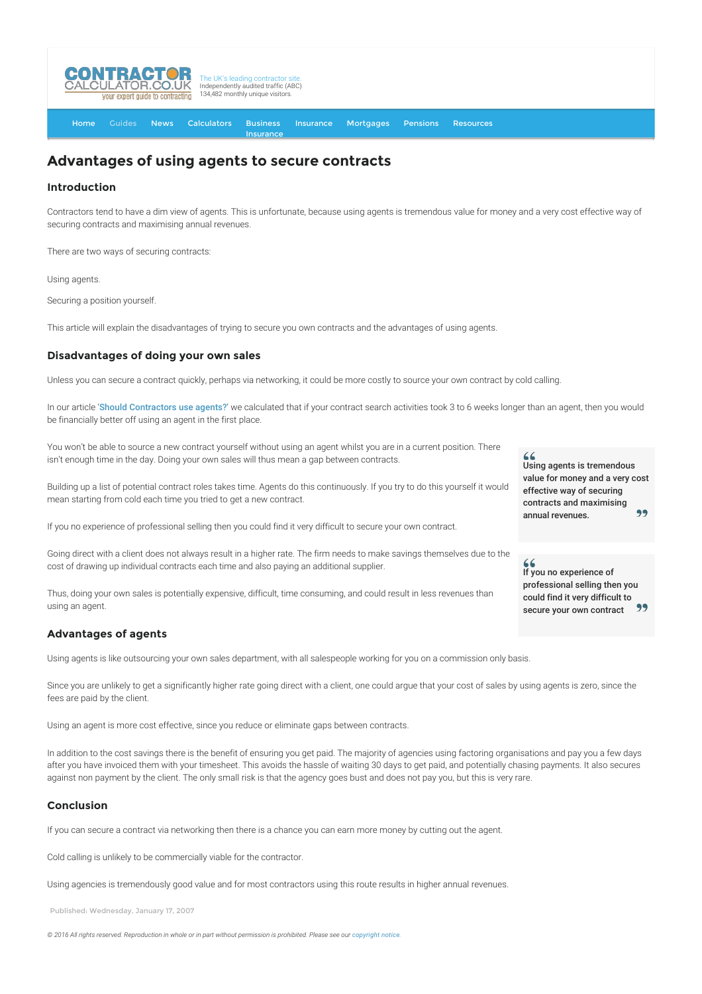

[Home](http://www.contractorcalculator.co.uk/) [Guides](http://www.contractorcalculator.co.uk/Articles.aspx) [News](http://www.contractorcalculator.co.uk/Contractor_News.aspx) [Calculators](http://www.contractorcalculator.co.uk/Calculators.aspx) Business **[Insurance](http://www.contractorcalculator.co.uk/Contractor_Insurances.aspx)** [Insurance](http://www.contractorcalculator.co.uk/Insurance.aspx) [Mortgages](http://www.contractorcalculator.co.uk/Contractor_Mortgages.aspx) [Pensions](http://www.contractorcalculator.co.uk/Contractor_Pensions.aspx) [Resources](http://www.contractorcalculator.co.uk/Contractor_Resources.aspx)

# **Advantages of using agents to secure contracts**

### **Introduction**

Contractors tend to have a dim view of agents. This is unfortunate, because using agents is tremendous value for money and a very cost effective way of securing contracts and maximising annual revenues.

There are two ways of securing contracts:

Using agents.

Securing a position yourself.

This article will explain the disadvantages of trying to secure you own contracts and the advantages of using agents.

### **Disadvantages of doing your own sales**

Unless you can secure a contract quickly, perhaps via networking, it could be more costly to source your own contract by cold calling.

In our article '[Should Contractors use agents?](http://www.contractorcalculator.co.uk/should_contractors_use_agents.aspx)' we calculated that if your contract search activities took 3 to 6 weeks longer than an agent, then you would be financially better off using an agent in the first place.

You won't be able to source a new contract yourself without using an agent whilst you are in a current position. There isn't enough time in the day. Doing your own sales will thus mean a gap between contracts.

Building up a list of potential contract roles takes time. Agents do this continuously. If you try to do this yourself it would mean starting from cold each time you tried to get a new contract.

If you no experience of professional selling then you could find it very difficult to secure your own contract.

Going direct with a client does not always result in a higher rate. The firm needs to make savings themselves due to the cost of drawing up individual contracts each time and also paying an additional supplier.

Thus, doing your own sales is potentially expensive, difficult, time consuming, and could result in less revenues than using an agent.

#### **Advantages of agents**

Using agents is like outsourcing your own sales department, with all salespeople working for you on a commission only basis.

Since you are unlikely to get a significantly higher rate going direct with a client, one could argue that your cost of sales by using agents is zero, since the fees are paid by the client.

Using an agent is more cost effective, since you reduce or eliminate gaps between contracts.

In addition to the cost savings there is the benefit of ensuring you get paid. The majority of agencies using factoring organisations and pay you a few days after you have invoiced them with your timesheet. This avoids the hassle of waiting 30 days to get paid, and potentially chasing payments. It also secures against non payment by the client. The only small risk is that the agency goes bust and does not pay you, but this is very rare.

## **Conclusion**

If you can secure a contract via networking then there is a chance you can earn more money by cutting out the agent.

Cold calling is unlikely to be commercially viable for the contractor.

Using agencies is tremendously good value and for most contractors using this route results in higher annual revenues.

Published: Wednesday, January 17, 2007

 $© 2016$  All rights reserved. Reproduction in whole or in part without permission is prohibited. Please see our [copyright notice](http://www.contractorcalculator.co.uk/copyright.aspx)

 $\epsilon$ Using agents is tremendous value for money and a very cost effective way of securing contracts and maximising 99 annual revenues.

If you no experience of professional selling then you could find it very difficult to secure your own contract